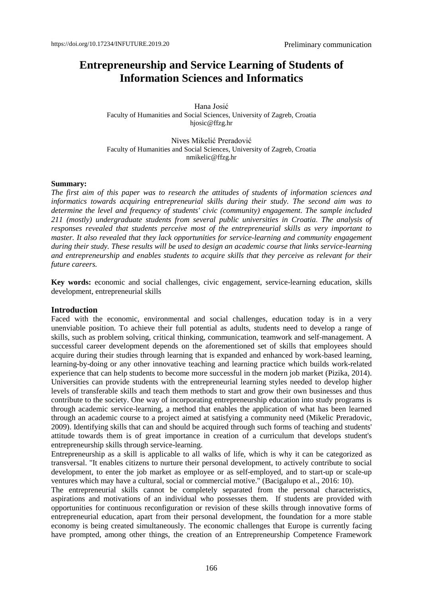# **Entrepreneurship and Service Learning of Students of Information Sciences and Informatics**

Hana Josić Faculty of Humanities and Social Sciences, University of Zagreb, Croatia hjosic@ffzg.hr

Nives Mikelić Preradović Faculty of Humanities and Social Sciences, University of Zagreb, Croatia nmikelic@ffzg.hr

#### **Summary:**

*The first aim of this paper was to research the attitudes of students of information sciences and informatics towards acquiring entrepreneurial skills during their study. The second aim was to determine the level and frequency of students' civic (community) engagement. The sample included 211 (mostly) undergraduate students from several public universities in Croatia. The analysis of responses revealed that students perceive most of the entrepreneurial skills as very important to master. It also revealed that they lack opportunities for service-learning and community engagement during their study. These results will be used to design an academic course that links service-learning and entrepreneurship and enables students to acquire skills that they perceive as relevant for their future careers.*

**Key words:** economic and social challenges, civic engagement, service-learning education, skills development, entrepreneurial skills

#### **Introduction**

Faced with the economic, environmental and social challenges, education today is in a very unenviable position. To achieve their full potential as adults, students need to develop a range of skills, such as problem solving, critical thinking, communication, teamwork and self-management. A successful career development depends on the aforementioned set of skills that employees should acquire during their studies through learning that is expanded and enhanced by work-based learning, learning-by-doing or any other innovative teaching and learning practice which builds work-related experience that can help students to become more successful in the modern job market (Pizika, 2014). Universities can provide students with the entrepreneurial learning styles needed to develop higher levels of transferable skills and teach them methods to start and grow their own businesses and thus contribute to the society. One way of incorporating entrepreneurship education into study programs is through academic service-learning, a method that enables the application of what has been learned through an academic course to a project aimed at satisfying a community need (Mikelic Preradovic, 2009). Identifying skills that can and should be acquired through such forms of teaching and students' attitude towards them is of great importance in creation of a curriculum that develops student's entrepreneurship skills through service-learning.

Entrepreneurship as a skill is applicable to all walks of life, which is why it can be categorized as transversal. "It enables citizens to nurture their personal development, to actively contribute to social development, to enter the job market as employee or as self-employed, and to start-up or scale-up ventures which may have a cultural, social or commercial motive." (Bacigalupo et al., 2016: 10).

The entrepreneurial skills cannot be completely separated from the personal characteristics, aspirations and motivations of an individual who possesses them. If students are provided with opportunities for continuous reconfiguration or revision of these skills through innovative forms of entrepreneurial education, apart from their personal development, the foundation for a more stable economy is being created simultaneously. The economic challenges that Europe is currently facing have prompted, among other things, the creation of an Entrepreneurship Competence Framework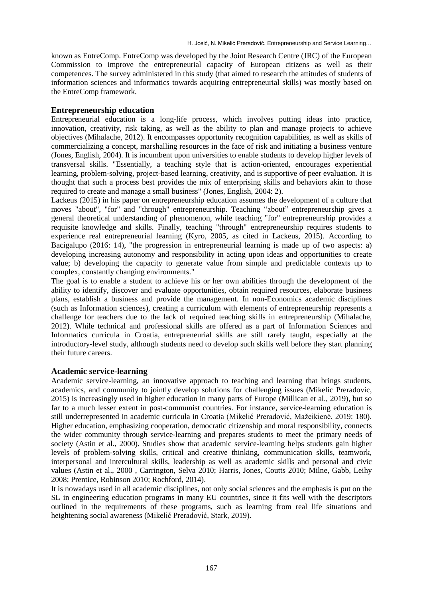known as EntreComp. EntreComp was developed by the Joint Research Centre (JRC) of the European Commission to improve the entrepreneurial capacity of European citizens as well as their competences. The survey administered in this study (that aimed to research the attitudes of students of information sciences and informatics towards acquiring entrepreneurial skills) was mostly based on the EntreComp framework.

## **Entrepreneurship education**

Entrepreneurial education is a long-life process, which involves putting ideas into practice, innovation, creativity, risk taking, as well as the ability to plan and manage projects to achieve objectives (Mihalache, 2012). It encompasses opportunity recognition capabilities, as well as skills of commercializing a concept, marshalling resources in the face of risk and initiating a business venture (Jones, English, 2004). It is incumbent upon universities to enable students to develop higher levels of transversal skills. "Essentially, a teaching style that is action-oriented, encourages experiential learning, problem-solving, project-based learning, creativity, and is supportive of peer evaluation. It is thought that such a process best provides the mix of enterprising skills and behaviors akin to those required to create and manage a small business" (Jones, English, 2004: 2).

Lackeus (2015) in his paper on entrepreneurship education assumes the development of a culture that moves "about", "for" and "through" entrepreneurship. Teaching "about" entrepreneurship gives a general theoretical understanding of phenomenon, while teaching "for" entrepreneurship provides a requisite knowledge and skills. Finally, teaching "through" entrepreneurship requires students to experience real entrepreneurial learning (Kyro, 2005, as cited in Lackeus, 2015). According to Bacigalupo (2016: 14), "the progression in entrepreneurial learning is made up of two aspects: a) developing increasing autonomy and responsibility in acting upon ideas and opportunities to create value; b) developing the capacity to generate value from simple and predictable contexts up to complex, constantly changing environments."

The goal is to enable a student to achieve his or her own abilities through the development of the ability to identify, discover and evaluate opportunities, obtain required resources, elaborate business plans, establish a business and provide the management. In non-Economics academic disciplines (such as Information sciences), creating a curriculum with elements of entrepreneurship represents a challenge for teachers due to the lack of required teaching skills in entrepreneurship (Mihalache, 2012). While technical and professional skills are offered as a part of Information Sciences and Informatics curricula in Croatia, entrepreneurial skills are still rarely taught, especially at the introductory-level study, although students need to develop such skills well before they start planning their future careers.

## **Academic service-learning**

Academic service-learning, an innovative approach to teaching and learning that brings students, academics, and community to jointly develop solutions for challenging issues (Mikelic Preradovic, 2015) is increasingly used in higher education in many parts of Europe (Millican et al., 2019), but so far to a much lesser extent in post-communist countries. For instance, service-learning education is still underrepresented in academic curricula in Croatia (Mikelić Preradović, Mažeikienė, 2019: 180). Higher education, emphasizing cooperation, democratic citizenship and moral responsibility, connects the wider community through service-learning and prepares students to meet the primary needs of society (Astin et al., 2000). Studies show that academic service-learning helps students gain higher levels of problem-solving skills, critical and creative thinking, communication skills, teamwork, interpersonal and intercultural skills, leadership as well as academic skills and personal and civic values (Astin et al., 2000 , Carrington, Selva 2010; Harris, Jones, Coutts 2010; Milne, Gabb, Leihy 2008; Prentice, Robinson 2010; Rochford, 2014).

It is nowadays used in all academic disciplines, not only social sciences and the emphasis is put on the SL in engineering education programs in many EU countries, since it fits well with the descriptors outlined in the requirements of these programs, such as learning from real life situations and heightening social awareness (Mikelić Preradović, Stark, 2019).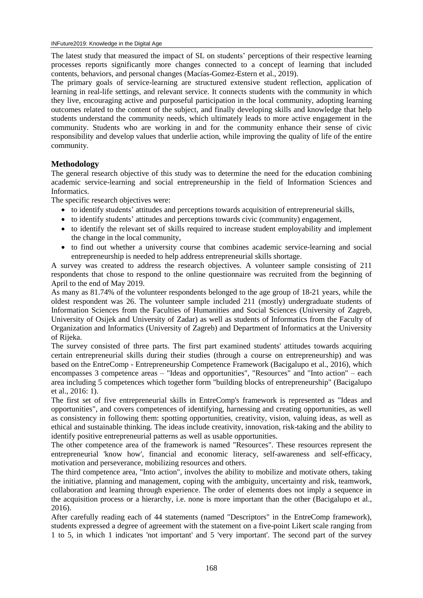The latest study that measured the impact of SL on students' perceptions of their respective learning processes reports significantly more changes connected to a concept of learning that included contents, behaviors, and personal changes (Macías-Gomez-Estern et al., 2019).

The primary goals of service-learning are structured extensive student reflection, application of learning in real-life settings, and relevant service. It connects students with the community in which they live, encouraging active and purposeful participation in the local community, adopting learning outcomes related to the content of the subject, and finally developing skills and knowledge that help students understand the community needs, which ultimately leads to more active engagement in the community. Students who are working in and for the community enhance their sense of civic responsibility and develop values that underlie action, while improving the quality of life of the entire community.

## **Methodology**

The general research objective of this study was to determine the need for the education combining academic service-learning and social entrepreneurship in the field of Information Sciences and Informatics.

The specific research objectives were:

- to identify students' attitudes and perceptions towards acquisition of entrepreneurial skills,
- to identify students' attitudes and perceptions towards civic (community) engagement,
- to identify the relevant set of skills required to increase student employability and implement the change in the local community,
- to find out whether a university course that combines academic service-learning and social entrepreneurship is needed to help address entrepreneurial skills shortage.

A survey was created to address the research objectives. A volunteer sample consisting of 211 respondents that chose to respond to the online questionnaire was recruited from the beginning of April to the end of May 2019.

As many as 81.74% of the volunteer respondents belonged to the age group of 18-21 years, while the oldest respondent was 26. The volunteer sample included 211 (mostly) undergraduate students of Information Sciences from the Faculties of Humanities and Social Sciences (University of Zagreb, University of Osijek and University of Zadar) as well as students of Informatics from the Faculty of Organization and Informatics (University of Zagreb) and Department of Informatics at the University of Rijeka.

The survey consisted of three parts. The first part examined students' attitudes towards acquiring certain entrepreneurial skills during their studies (through a course on entrepreneurship) and was based on the EntreComp - Entrepreneurship Competence Framework (Bacigalupo et al., 2016), which encompasses 3 competence areas – "Ideas and opportunities", "Resources" and "Into action" – each area including 5 competences which together form "building blocks of entrepreneurship" (Bacigalupo et al., 2016: 1).

The first set of five entrepreneurial skills in EntreComp's framework is represented as "Ideas and opportunities", and covers competences of identifying, harnessing and creating opportunities, as well as consistency in following them: spotting opportunities, creativity, vision, valuing ideas, as well as ethical and sustainable thinking. The ideas include creativity, innovation, risk-taking and the ability to identify positive entrepreneurial patterns as well as usable opportunities.

The other competence area of the framework is named "Resources". These resources represent the entrepreneurial 'know how', financial and economic literacy, self-awareness and self-efficacy, motivation and perseverance, mobilizing resources and others.

The third competence area, "Into action", involves the ability to mobilize and motivate others, taking the initiative, planning and management, coping with the ambiguity, uncertainty and risk, teamwork, collaboration and learning through experience. The order of elements does not imply a sequence in the acquisition process or a hierarchy, i.e. none is more important than the other (Bacigalupo et al., 2016).

After carefully reading each of 44 statements (named "Descriptors" in the EntreComp framework), students expressed a degree of agreement with the statement on a five-point Likert scale ranging from 1 to 5, in which 1 indicates 'not important' and 5 'very important'. The second part of the survey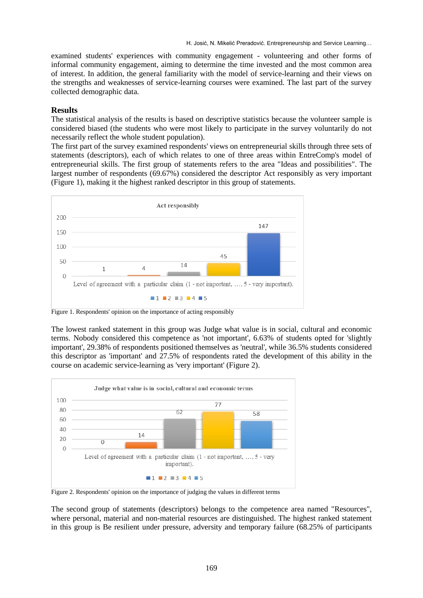examined students' experiences with community engagement - volunteering and other forms of informal community engagement, aiming to determine the time invested and the most common area of interest. In addition, the general familiarity with the model of service-learning and their views on the strengths and weaknesses of service-learning courses were examined. The last part of the survey collected demographic data.

#### **Results**

The statistical analysis of the results is based on descriptive statistics because the volunteer sample is considered biased (the students who were most likely to participate in the survey voluntarily do not necessarily reflect the whole student population).

The first part of the survey examined respondents' views on entrepreneurial skills through three sets of statements (descriptors), each of which relates to one of three areas within EntreComp's model of entrepreneurial skills. The first group of statements refers to the area "Ideas and possibilities". The largest number of respondents (69.67%) considered the descriptor Act responsibly as very important (Figure 1), making it the highest ranked descriptor in this group of statements.



Figure 1. Respondents' opinion on the importance of acting responsibly

The lowest ranked statement in this group was Judge what value is in social, cultural and economic terms. Nobody considered this competence as 'not important', 6.63% of students opted for 'slightly important', 29.38% of respondents positioned themselves as 'neutral', while 36.5% students considered this descriptor as 'important' and 27.5% of respondents rated the development of this ability in the course on academic service-learning as 'very important' (Figure 2).



Figure 2. Respondents' opinion on the importance of judging the values in different terms

The second group of statements (descriptors) belongs to the competence area named "Resources", where personal, material and non-material resources are distinguished. The highest ranked statement in this group is Be resilient under pressure, adversity and temporary failure (68.25% of participants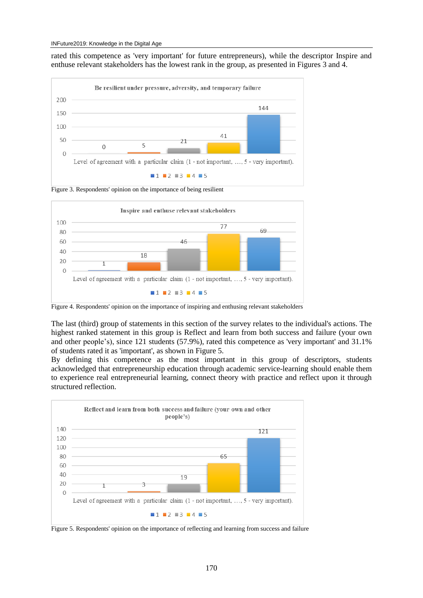rated this competence as 'very important' for future entrepreneurs), while the descriptor Inspire and enthuse relevant stakeholders has the lowest rank in the group, as presented in Figures 3 and 4.



Figure 3. Respondents' opinion on the importance of being resilient



Figure 4. Respondents' opinion on the importance of inspiring and enthusing relevant stakeholders

The last (third) group of statements in this section of the survey relates to the individual's actions. The highest ranked statement in this group is Reflect and learn from both success and failure (your own and other people's), since 121 students (57.9%), rated this competence as 'very important' and 31.1% of students rated it as 'important', as shown in Figure 5.

By defining this competence as the most important in this group of descriptors, students acknowledged that entrepreneurship education through academic service-learning should enable them to experience real entrepreneurial learning, connect theory with practice and reflect upon it through structured reflection.



Figure 5. Respondents' opinion on the importance of reflecting and learning from success and failure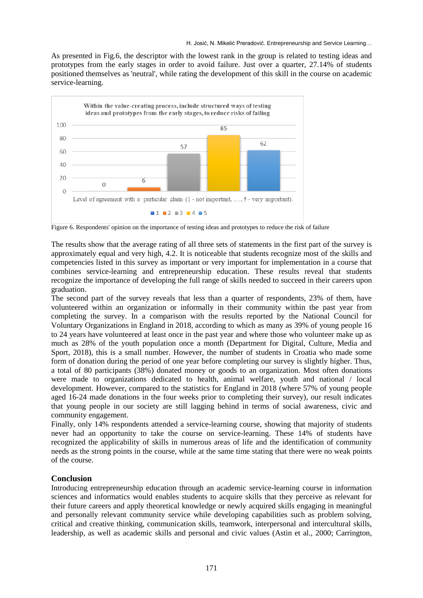As presented in Fig.6, the descriptor with the lowest rank in the group is related to testing ideas and prototypes from the early stages in order to avoid failure. Just over a quarter, 27.14% of students positioned themselves as 'neutral', while rating the development of this skill in the course on academic service-learning.



Figure 6. Respondents' opinion on the importance of testing ideas and prototypes to reduce the risk of failure

The results show that the average rating of all three sets of statements in the first part of the survey is approximately equal and very high, 4.2. It is noticeable that students recognize most of the skills and competencies listed in this survey as important or very important for implementation in a course that combines service-learning and entrepreneurship education. These results reveal that students recognize the importance of developing the full range of skills needed to succeed in their careers upon graduation.

The second part of the survey reveals that less than a quarter of respondents, 23% of them, have volunteered within an organization or informally in their community within the past year from completing the survey. In a comparison with the results reported by the National Council for Voluntary Organizations in England in 2018, according to which as many as 39% of young people 16 to 24 years have volunteered at least once in the past year and where those who volunteer make up as much as 28% of the youth population once a month (Department for Digital, Culture, Media and Sport, 2018), this is a small number. However, the number of students in Croatia who made some form of donation during the period of one year before completing our survey is slightly higher. Thus, a total of 80 participants (38%) donated money or goods to an organization. Most often donations were made to organizations dedicated to health, animal welfare, youth and national / local development. However, compared to the statistics for England in 2018 (where 57% of young people aged 16-24 made donations in the four weeks prior to completing their survey), our result indicates that young people in our society are still lagging behind in terms of social awareness, civic and community engagement.

Finally, only 14% respondents attended a service-learning course, showing that majority of students never had an opportunity to take the course on service-learning. These 14% of students have recognized the applicability of skills in numerous areas of life and the identification of community needs as the strong points in the course, while at the same time stating that there were no weak points of the course.

## **Conclusion**

Introducing entrepreneurship education through an academic service-learning course in information sciences and informatics would enables students to acquire skills that they perceive as relevant for their future careers and apply theoretical knowledge or newly acquired skills engaging in meaningful and personally relevant community service while developing capabilities such as problem solving, critical and creative thinking, communication skills, teamwork, interpersonal and intercultural skills, leadership, as well as academic skills and personal and civic values (Astin et al., 2000; Carrington,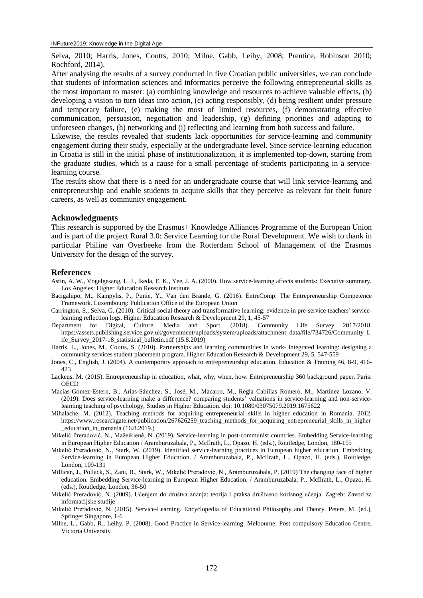Selva, 2010; Harris, Jones, Coutts, 2010; Milne, Gabb, Leihy, 2008; Prentice, Robinson 2010; Rochford, 2014).

After analysing the results of a survey conducted in five Croatian public universities, we can conclude that students of information sciences and informatics perceive the following entrepreneurial skills as the most important to master: (a) combining knowledge and resources to achieve valuable effects, (b) developing a vision to turn ideas into action, (c) acting responsibly, (d) being resilient under pressure and temporary failure, (e) making the most of limited resources, (f) demonstrating effective communication, persuasion, negotiation and leadership, (g) defining priorities and adapting to unforeseen changes, (h) networking and (i) reflecting and learning from both success and failure.

Likewise, the results revealed that students lack opportunities for service-learning and community engagement during their study, especially at the undergraduate level. Since service-learning education in Croatia is still in the initial phase of institutionalization, it is implemented top-down, starting from the graduate studies, which is a cause for a small percentage of students participating in a servicelearning course.

The results show that there is a need for an undergraduate course that will link service-learning and entrepreneurship and enable students to acquire skills that they perceive as relevant for their future careers, as well as community engagement.

#### **Acknowledgments**

This research is supported by the Erasmus+ Knowledge Alliances Programme of the European Union and is part of the project Rural 3.0: Service Learning for the Rural Development. We wish to thank in particular Philine van Overbeeke from the Rotterdam School of Management of the Erasmus University for the design of the survey.

#### **References**

- Astin, A. W., Vogelgesang, L. J., Ikeda, E. K., Yee, J. A. (2000). How service-learning affects students: Executive summary. Los Angeles: Higher Education Research Institute
- Bacigalupo, M., Kampylis, P., Punie, Y., Van den Brande, G. (2016). EntreComp: The Entrepreneurship Competence Framework. Luxembourg: Publication Office of the European Union
- Carrington, S., Selva, G. (2010). Critical social theory and transformative learning: evidence in pre-service teachers' servicelearning reflection logs. Higher Education Research & Development 29, 1, 45-57
- Department for Digital, Culture, Media and Sport. (2018). Community Life Survey 2017/2018. https://assets.publishing.service.gov.uk/government/uploads/system/uploads/attachment\_data/file/734726/Community\_L ife\_Survey\_2017-18\_statistical\_bulletin.pdf (15.8.2019)
- Harris, L., Jones, M., Coutts, S. (2010). Partnerships and learning communities in work- integrated learning: designing a community services student placement program. Higher Education Research & Development 29, 5, 547-559
- Jones, C., English, J. (2004). A contemporary approach to entrepreneurship education. Education & Training 46, 8-9, 416- 423
- Lackeus, M. (2015). Entrepreneurship in education, what, why, when, how. Entrepreneurship 360 background paper. Paris: **OECD**
- Macías-Gomez-Estern, B., Arias-Sánchez, S., José, M., Macarro, M., Regla Cabillas Romero, M., Martínez Lozano, V. (2019). Does service-learning make a difference? comparing students' valuations in service-learning and non-servicelearning teaching of psychology, Studies in Higher Education. doi: 10.1080/03075079.2019.1675622
- Mihalache, M. (2012). Teaching methods for acquiring entrepreneurial skills in higher education in Romania. 2012. https://www.researchgate.net/publication/267626259\_teaching\_methods\_for\_acquiring\_entrepreneurial\_skills\_in\_higher \_education\_in\_romania (16.8.2019.)
- Mikelić Preradović, N., Mažeikienė, N. (2019). Service-learning in post-communist countries. Embedding Service-learning in European Higher Education / Aramburuzabala, P., McIlrath, L., Opazo, H. (eds.), Routledge, London, 180-195
- Mikelić Preradović, N., Stark, W. (2019). Identified service-learning practices in European higher education. Embedding Service-learning in European Higher Education. / Aramburuzabala, P., McIlrath, L., Opazo, H. (eds.), Routledge, London, 109-131
- Millican, J., Pollack, S., Zani, B., Stark, W., Mikelić Preradović, N., Aramburuzabala, P. (2019) The changing face of higher education. Embedding Service-learning in European Higher Education. / Aramburuzabala, P., McIlrath, L., Opazo, H. (eds.), Routledge, London, 36-50
- Mikelić Preradović, N. (2009). Učenjem do društva znanja: teorija i praksa društveno korisnog učenja. Zagreb: Zavod za informacijske studije
- Mikelić Preradović, N. (2015). Service-Learning. Encyclopedia of Educational Philosophy and Theory. Peters, M. (ed.), Springer Singapore, 1-6
- Milne, L., Gabb, R., Leihy, P. (2008). Good Practice in Service-learning. Melbourne: Post compulsory Education Centre, Victoria University